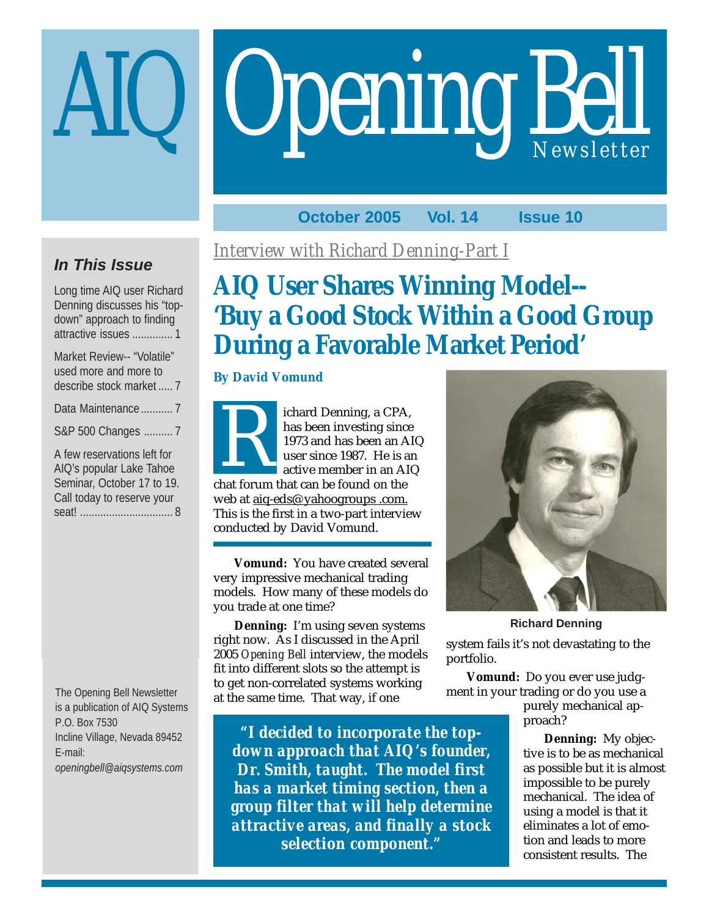# **Opening Bell**

## **October 2005 Vol. 14 Issue 10**

## **In This Issue**

Long time AIQ user Richard Denning discusses his "topdown" approach to finding attractive issues .............. 1

| Market Review-- "Volatile"<br>used more and more to |
|-----------------------------------------------------|
| describe stock market  7                            |
| Data Maintenance  7                                 |
| S&P 500 Changes  7                                  |
| A few reservations left for                         |
| AIQ's popular Lake Tahoe                            |
| Seminar, October 17 to 19.                          |
| Call today to reserve your                          |

seat! ................................ 8

The Opening Bell Newsletter is a publication of AIQ Systems P.O. Box 7530 Incline Village, Nevada 89452 E-mail: *openingbell@aiqsystems.com*

*Interview with Richard Denning-Part I*

## **AIQ User Shares Winning Model-- 'Buy a Good Stock Within a Good Group During a Favorable Market Period'**

#### **By David Vomund**

ichard Denning, a CPA, has been investing since 1973 and has been an AIQ user since 1987. He is an active member in an AIQ chard Denning, a CPA<br>has been investing since<br>1973 and has been an A<br>user since 1987. He is a<br>active member in an A<br>chat forum that can be found on the web at aiq-eds@ yahoogroups .com. This is the first in a two-part interview conducted by David Vomund.

**Vomund:** You have created several very impressive mechanical trading models. How many of these models do you trade at one time?

**Denning:** I'm using seven systems right now. As I discussed in the April 2005 *Opening Bell* interview, the models fit into different slots so the attempt is to get non-correlated systems working at the same time. That way, if one

*"I decided to incorporate the topdown approach that AIQ's founder, Dr. Smith, taught. The model first has a market timing section, then a group filter that will help determine attractive areas, and finally a stock selection component."*



system fails it's not devastating to the portfolio. **Richard Denning**

**Vomund:** Do you ever use judgment in your trading or do you use a

purely mechanical approach?

**Denning:** My objective is to be as mechanical as possible but it is almost impossible to be purely mechanical. The idea of using a model is that it eliminates a lot of emotion and leads to more consistent results. The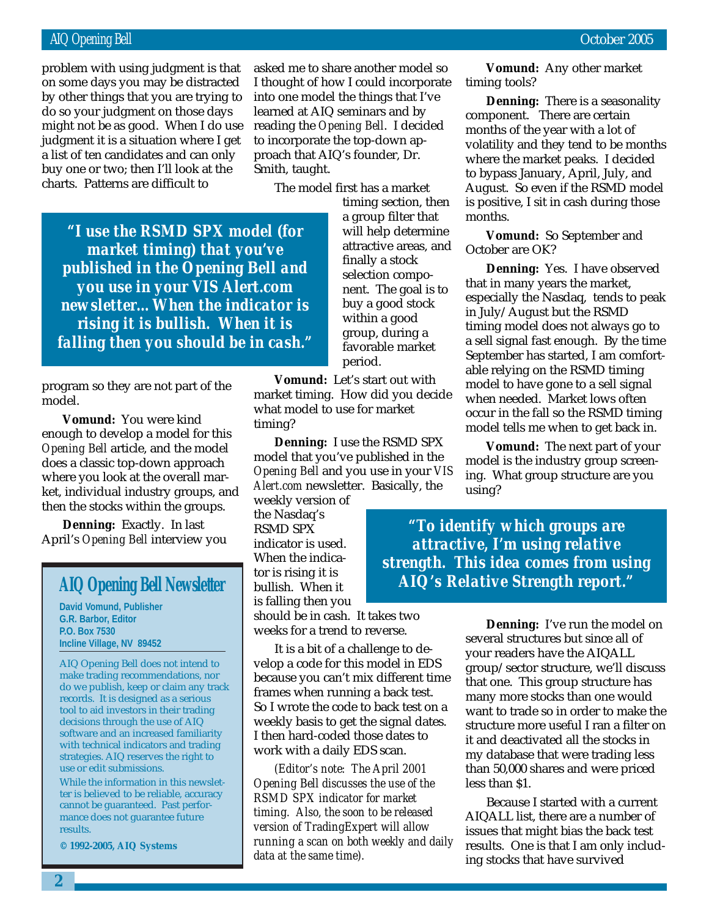#### AIQ Opening Bell October 2005

do so your judgment on those days problem with using judgment is that on some days you may be distracted by other things that you are trying to might not be as good. When I do use judgment it is a situation where I get a list of ten candidates and can only buy one or two; then I'll look at the charts. Patterns are difficult to

asked me to share another model so I thought of how I could incorporate into one model the things that I've learned at AIQ seminars and by reading the *Opening Bell*. I decided to incorporate the top-down approach that AIQ's founder, Dr. Smith, taught.

The model first has a market

*"I use the RSMD SPX model (for market timing) that you've published in the Opening Bell and you use in your VIS Alert.com newsletter…When the indicator is rising it is bullish. When it is falling then you should be in cash."*

program so they are not part of the model.

**Vomund:** You were kind enough to develop a model for this *Opening Bell* article, and the model does a classic top-down approach where you look at the overall market, individual industry groups, and then the stocks within the groups.

**Denning:** Exactly. In last April's *Opening Bell* interview you

#### **AIQ Opening Bell Newsletter**

**David Vomund, Publisher G.R. Barbor, Editor P.O. Box 7530 Incline Village, NV 89452**

AIQ Opening Bell does not intend to make trading recommendations, nor do we publish, keep or claim any track records. It is designed as a serious tool to aid investors in their trading decisions through the use of AIQ software and an increased familiarity with technical indicators and trading strategies. AIQ reserves the right to use or edit submissions.

While the information in this newsletter is believed to be reliable, accuracy cannot be guaranteed. Past performance does not guarantee future results.

**© 1992-2005, AIQ Systems**

timing section, then a group filter that will help determine attractive areas, and finally a stock selection component. The goal is to buy a good stock within a good group, during a favorable market period.

**Vomund:** Let's start out with market timing. How did you decide what model to use for market timing?

**Denning:** I use the RSMD SPX model that you've published in the *Opening Bell* and you use in your *VIS Alert.com* newsletter. Basically, the

weekly version of the Nasdaq's RSMD SPX indicator is used. When the indicator is rising it is bullish. When it is falling then you

should be in cash. It takes two weeks for a trend to reverse.

It is a bit of a challenge to develop a code for this model in EDS because you can't mix different time frames when running a back test. So I wrote the code to back test on a weekly basis to get the signal dates. I then hard-coded those dates to work with a daily EDS scan.

*(Editor's note: The April 2001 Opening Bell discusses the use of the RSMD SPX indicator for market timing. Also, the soon to be released version of TradingExpert will allow running a scan on both weekly and daily data at the same time).*

**Vomund:** Any other market timing tools?

**Denning:** There is a seasonality component. There are certain months of the year with a lot of volatility and they tend to be months where the market peaks. I decided to bypass January, April, July, and August. So even if the RSMD model is positive, I sit in cash during those months.

**Vomund:** So September and October are OK?

**Denning:** Yes. I have observed that in many years the market, especially the Nasdaq, tends to peak in July/August but the RSMD timing model does not always go to a sell signal fast enough. By the time September has started, I am comfortable relying on the RSMD timing model to have gone to a sell signal when needed. Market lows often occur in the fall so the RSMD timing model tells me when to get back in.

**Vomund:** The next part of your model is the industry group screening. What group structure are you using?

*"To identify which groups are attractive, I'm using relative strength. This idea comes from using AIQ's Relative Strength report."*

> **Denning:** I've run the model on several structures but since all of your readers have the AIQALL group/sector structure, we'll discuss that one. This group structure has many more stocks than one would want to trade so in order to make the structure more useful I ran a filter on it and deactivated all the stocks in my database that were trading less than 50,000 shares and were priced less than \$1.

> Because I started with a current AIQALL list, there are a number of issues that might bias the back test results. One is that I am only including stocks that have survived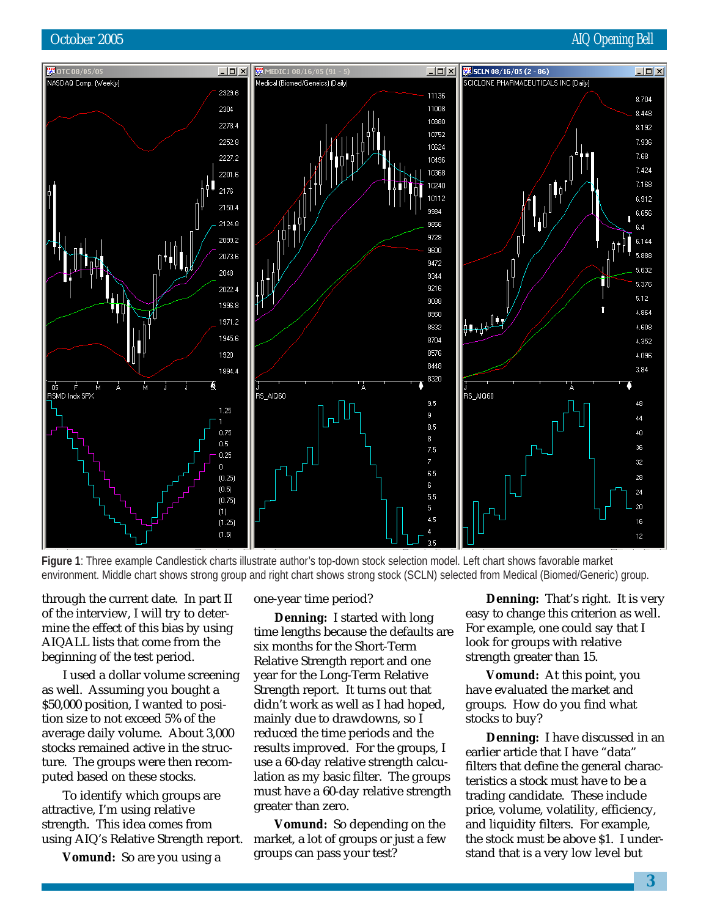#### October 2005 **AIQ Opening Bell**



**Figure 1**: Three example Candlestick charts illustrate author's top-down stock selection model. Left chart shows favorable market environment. Middle chart shows strong group and right chart shows strong stock (SCLN) selected from Medical (Biomed/Generic) group.

through the current date. In part II of the interview, I will try to determine the effect of this bias by using AIQALL lists that come from the beginning of the test period.

I used a dollar volume screening as well. Assuming you bought a \$50,000 position, I wanted to position size to not exceed 5% of the average daily volume. About 3,000 stocks remained active in the structure. The groups were then recomputed based on these stocks.

To identify which groups are attractive, I'm using relative strength. This idea comes from using AIQ's Relative Strength report.

**Vomund:** So are you using a

one-year time period?

**Denning:** I started with long time lengths because the defaults are six months for the Short-Term Relative Strength report and one year for the Long-Term Relative Strength report. It turns out that didn't work as well as I had hoped, mainly due to drawdowns, so I reduced the time periods and the results improved. For the groups, I use a 60-day relative strength calculation as my basic filter. The groups must have a 60-day relative strength greater than zero.

**Vomund:** So depending on the market, a lot of groups or just a few groups can pass your test?

**Denning:** That's right. It is very easy to change this criterion as well. For example, one could say that I look for groups with relative strength greater than 15.

**Vomund:** At this point, you have evaluated the market and groups. How do you find what stocks to buy?

**Denning:** I have discussed in an earlier article that I have "data" filters that define the general characteristics a stock must have to be a trading candidate. These include price, volume, volatility, efficiency, and liquidity filters. For example, the stock must be above \$1. I understand that is a very low level but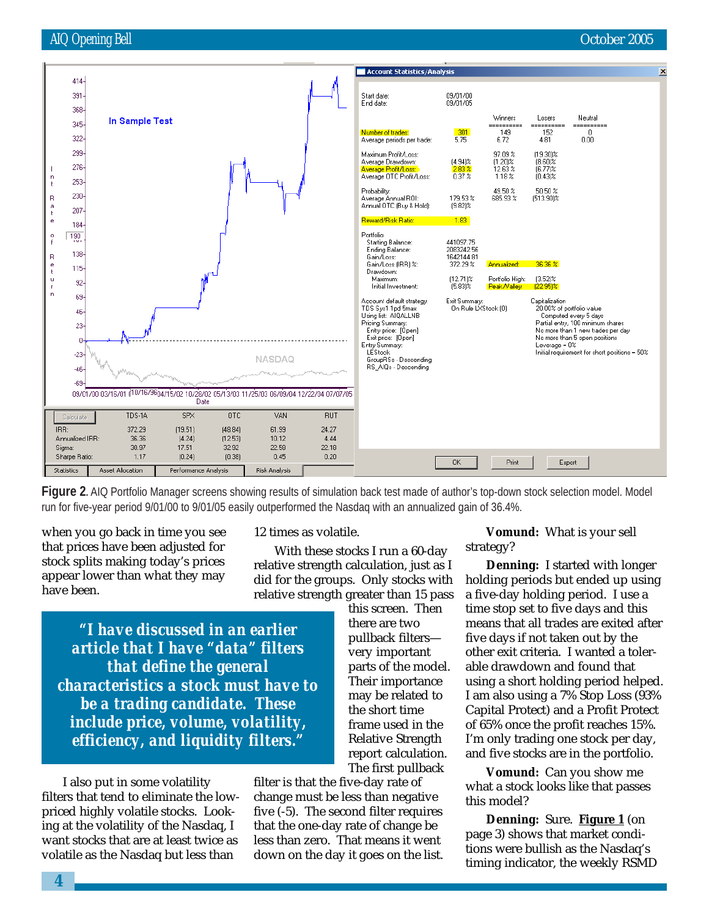

**Figure 2.** AIQ Portfolio Manager screens showing results of simulation back test made of author's top-down stock selection model. Model run for five-year period 9/01/00 to 9/01/05 easily outperformed the Nasdaq with an annualized gain of 36.4%.

when you go back in time you see that prices have been adjusted for stock splits making today's prices appear lower than what they may have been.

#### 12 times as volatile.

With these stocks I run a 60-day relative strength calculation, just as I did for the groups. Only stocks with relative strength greater than 15 pass

*"I have discussed in an earlier article that I have "data" filters that define the general characteristics a stock must have to be a trading candidate. These include price, volume, volatility, efficiency, and liquidity filters."*

I also put in some volatility filters that tend to eliminate the lowpriced highly volatile stocks. Looking at the volatility of the Nasdaq, I want stocks that are at least twice as volatile as the Nasdaq but less than

this screen. Then there are two pullback filters very important parts of the model. Their importance may be related to the short time frame used in the Relative Strength report calculation. The first pullback

filter is that the five-day rate of change must be less than negative five (-5). The second filter requires that the one-day rate of change be less than zero. That means it went down on the day it goes on the list.

**Vomund:** What is your sell strategy?

**Denning:** I started with longer holding periods but ended up using a five-day holding period. I use a time stop set to five days and this means that all trades are exited after five days if not taken out by the other exit criteria. I wanted a tolerable drawdown and found that using a short holding period helped. I am also using a 7% Stop Loss (93% Capital Protect) and a Profit Protect of 65% once the profit reaches 15%. I'm only trading one stock per day, and five stocks are in the portfolio.

**Vomund:** Can you show me what a stock looks like that passes this model?

**Denning:** Sure. **Figure 1** (on page 3) shows that market conditions were bullish as the Nasdaq's timing indicator, the weekly RSMD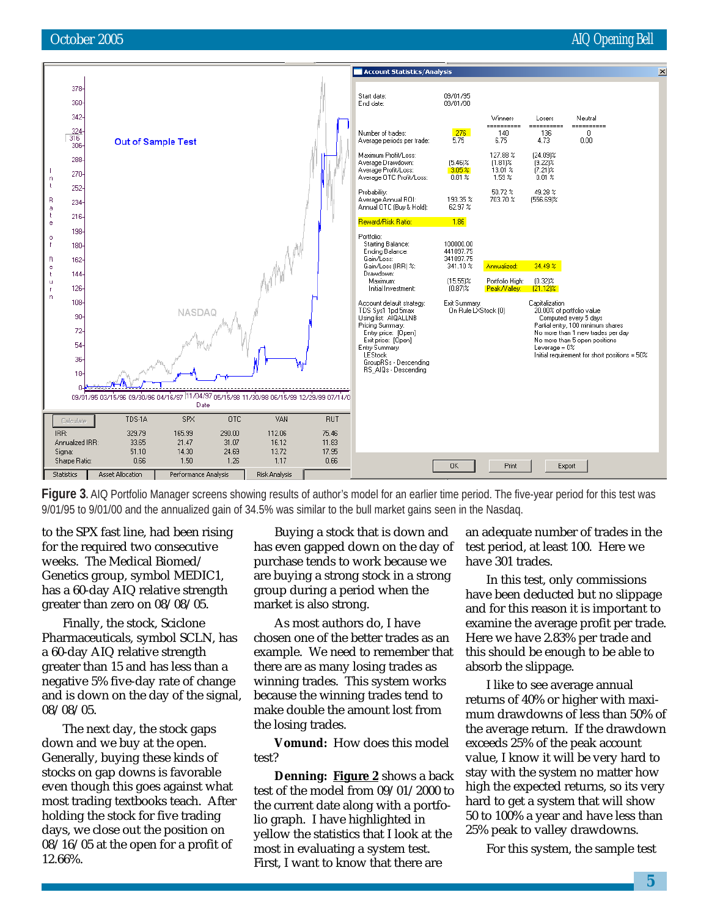#### October 2005 **AIQ Opening Bell**



**Figure 3.** AIQ Portfolio Manager screens showing results of author's model for an earlier time period. The five-year period for this test was 9/01/95 to 9/01/00 and the annualized gain of 34.5% was similar to the bull market gains seen in the Nasdaq.

to the SPX fast line, had been rising for the required two consecutive weeks. The Medical Biomed/ Genetics group, symbol MEDIC1, has a 60-day AIQ relative strength greater than zero on 08/08/05.

Finally, the stock, Sciclone Pharmaceuticals, symbol SCLN, has a 60-day AIQ relative strength greater than 15 and has less than a negative 5% five-day rate of change and is down on the day of the signal, 08/08/05.

The next day, the stock gaps down and we buy at the open. Generally, buying these kinds of stocks on gap downs is favorable even though this goes against what most trading textbooks teach. After holding the stock for five trading days, we close out the position on 08/16/05 at the open for a profit of 12.66%.

Buying a stock that is down and has even gapped down on the day of purchase tends to work because we are buying a strong stock in a strong group during a period when the market is also strong.

As most authors do, I have chosen one of the better trades as an example. We need to remember that there are as many losing trades as winning trades. This system works because the winning trades tend to make double the amount lost from the losing trades.

**Vomund:** How does this model test?

**Denning: Figure 2** shows a back test of the model from 09/01/2000 to the current date along with a portfolio graph. I have highlighted in yellow the statistics that I look at the most in evaluating a system test. First, I want to know that there are

an adequate number of trades in the test period, at least 100. Here we have 301 trades.

In this test, only commissions have been deducted but no slippage and for this reason it is important to examine the average profit per trade. Here we have 2.83% per trade and this should be enough to be able to absorb the slippage.

I like to see average annual returns of 40% or higher with maximum drawdowns of less than 50% of the average return. If the drawdown exceeds 25% of the peak account value, I know it will be very hard to stay with the system no matter how high the expected returns, so its very hard to get a system that will show 50 to 100% a year and have less than 25% peak to valley drawdowns.

For this system, the sample test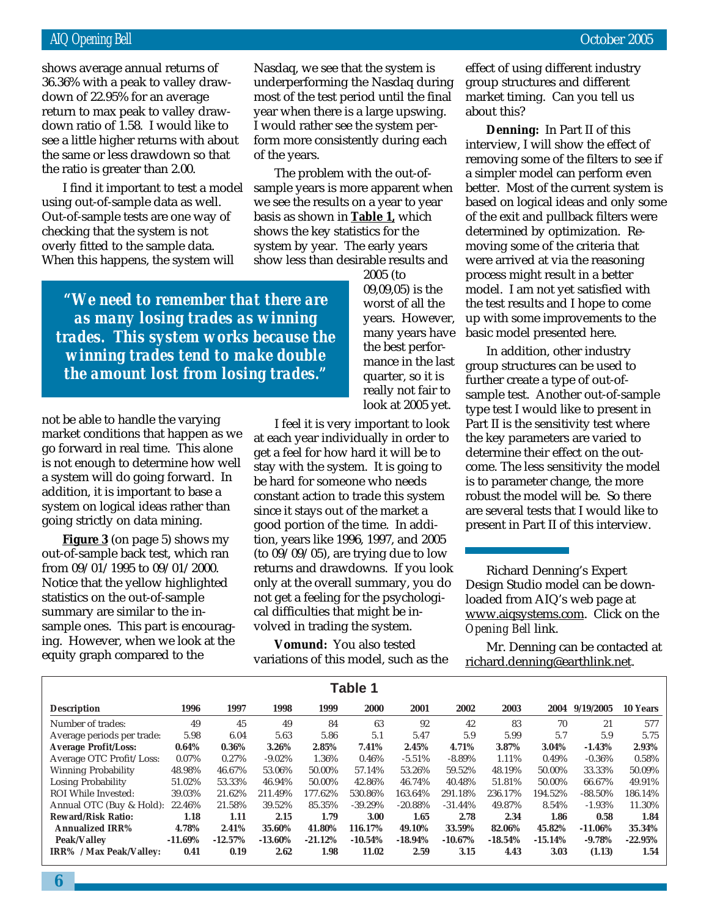return to max peak to valley drawshows average annual returns of 36.36% with a peak to valley drawdown of 22.95% for an average down ratio of 1.58. I would like to see a little higher returns with about the same or less drawdown so that the ratio is greater than 2.00.

I find it important to test a model using out-of-sample data as well. Out-of-sample tests are one way of checking that the system is not overly fitted to the sample data. When this happens, the system will

Nasdaq, we see that the system is underperforming the Nasdaq during most of the test period until the final year when there is a large upswing. I would rather see the system perform more consistently during each of the years.

The problem with the out-ofsample years is more apparent when we see the results on a year to year basis as shown in **Table 1,** which shows the key statistics for the system by year. The early years show less than desirable results and

*"We need to remember that there are as many losing trades as winning trades. This system works because the winning trades tend to make double the amount lost from losing trades."*

not be able to handle the varying market conditions that happen as we go forward in real time. This alone is not enough to determine how well a system will do going forward. In addition, it is important to base a system on logical ideas rather than going strictly on data mining.

**Figure 3** (on page 5) shows my out-of-sample back test, which ran from 09/01/1995 to 09/01/2000. Notice that the yellow highlighted statistics on the out-of-sample summary are similar to the insample ones. This part is encouraging. However, when we look at the equity graph compared to the

2005 (to 09,09,05) is the worst of all the years. However, many years have the best performance in the last quarter, so it is really not fair to look at 2005 yet.

I feel it is very important to look at each year individually in order to get a feel for how hard it will be to stay with the system. It is going to be hard for someone who needs constant action to trade this system since it stays out of the market a good portion of the time. In addition, years like 1996, 1997, and 2005 (to 09/09/05), are trying due to low returns and drawdowns. If you look only at the overall summary, you do not get a feeling for the psychological difficulties that might be involved in trading the system.

**Vomund:** You also tested variations of this model, such as the

effect of using different industry group structures and different market timing. Can you tell us about this?

**Denning:** In Part II of this interview, I will show the effect of removing some of the filters to see if a simpler model can perform even better. Most of the current system is based on logical ideas and only some of the exit and pullback filters were determined by optimization. Removing some of the criteria that were arrived at via the reasoning process might result in a better model. I am not yet satisfied with the test results and I hope to come up with some improvements to the basic model presented here.

In addition, other industry group structures can be used to further create a type of out-ofsample test. Another out-of-sample type test I would like to present in Part II is the sensitivity test where the key parameters are varied to determine their effect on the outcome. The less sensitivity the model is to parameter change, the more robust the model will be. So there are several tests that I would like to present in Part II of this interview.

Richard Denning's Expert Design Studio model can be downloaded from AIQ's web page at www.aiqsystems.com. Click on the *Opening Bell* link.

Mr. Denning can be contacted at richard.denning@earthlink.net.

| Table 1                        |           |           |            |           |           |            |            |           |           |            |           |
|--------------------------------|-----------|-----------|------------|-----------|-----------|------------|------------|-----------|-----------|------------|-----------|
| <b>Description</b>             | 1996      | 1997      | 1998       | 1999      | 2000      | 2001       | 2002       | 2003      | 2004      | 9/19/2005  | 10 Years  |
| Number of trades:              | 49        | 45        | 49         | 84        | 63        | 92         | 42         | 83        | 70        | 21         | 577       |
| Average periods per trade:     | 5.98      | 6.04      | 5.63       | 5.86      | 5.1       | 5.47       | 5.9        | 5.99      | 5.7       | 5.9        | 5.75      |
| <b>Average Profit/Loss:</b>    | 0.64%     | 0.36%     | 3.26%      | 2.85%     | 7.41%     | 2.45%      | 4.71%      | 3.87%     | 3.04%     | $-1.43%$   | 2.93%     |
| Average OTC Profit/Loss:       | 0.07%     | 0.27%     | $-9.02\%$  | 1.36%     | 0.46%     | $-5.51%$   | $-8.89%$   | 1.11%     | 0.49%     | $-0.36%$   | 0.58%     |
| <b>Winning Probability</b>     | 48.98%    | 46.67%    | 53.06%     | 50.00%    | 57.14%    | 53.26%     | 59.52%     | 48.19%    | 50.00%    | 33.33%     | 50.09%    |
| Losing Probability             | 51.02%    | 53.33%    | 46.94%     | 50.00%    | 42.86%    | 46.74%     | 40.48%     | 51.81%    | 50.00%    | 66.67%     | 49.91%    |
| ROI While Invested:            | 39.03%    | 21.62%    | 211.49%    | 177.62%   | 530.86%   | 163.64%    | 291.18%    | 236.17%   | 194.52%   | $-88.50\%$ | 186.14%   |
| Annual OTC (Buy & Hold):       | 22.46%    | 21.58%    | 39.52%     | 85.35%    | $-39.29%$ | $-20.88%$  | $-31.44%$  | 49.87%    | 8.54%     | $-1.93\%$  | 11.30%    |
| <b>Reward/Risk Ratio:</b>      | 1.18      | 1.11      | 2.15       | 1.79      | 3.00      | 1.65       | 2.78       | 2.34      | 1.86      | 0.58       | 1.84      |
| <b>Annualized IRR%</b>         | 4.78%     | 2.41%     | 35.60%     | 41.80%    | 116.17%   | 49.10%     | 33.59%     | 82.06%    | 45.82%    | $-11.06\%$ | 35.34%    |
| <b>Peak/Valley</b>             | $-11.69%$ | $-12.57%$ | $-13.60\%$ | $-21.12%$ | $-10.54%$ | $-18.94\%$ | $-10.67\%$ | $-18.54%$ | $-15.14%$ | $-9.78%$   | $-22.95%$ |
| <b>IRR%</b> / Max Peak/Valley: | 0.41      | 0.19      | 2.62       | 1.98      | 11.02     | 2.59       | 3.15       | 4.43      | 3.03      | (1.13)     | 1.54      |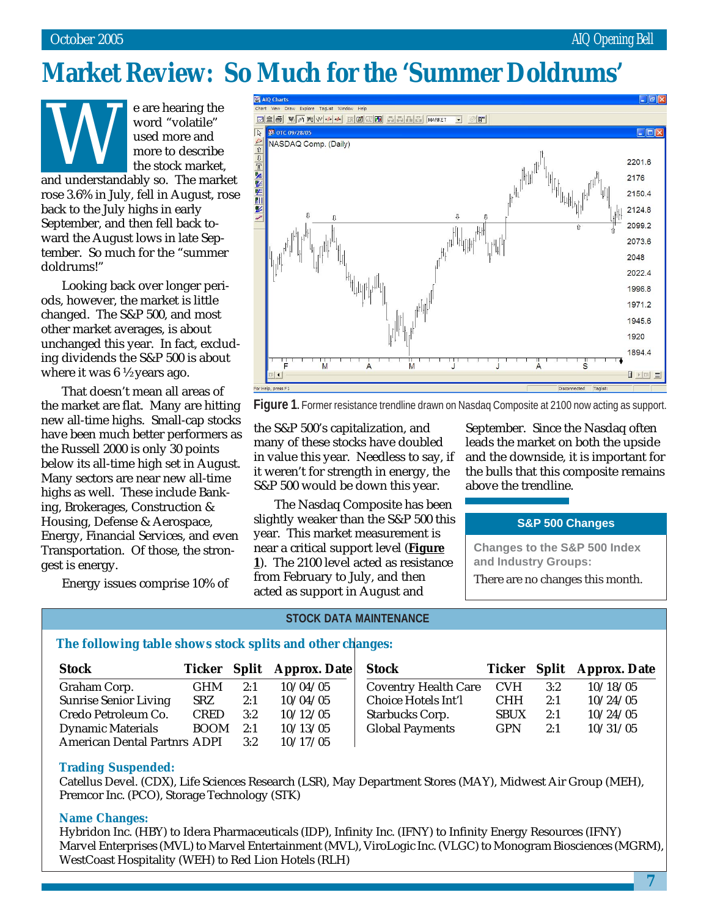## **Market Review: So Much for the 'Summer Doldrums'**

e are hearing the word "volatile" used more and more to describe the stock market, and understandably so. The market

rose 3.6% in July, fell in August, rose back to the July highs in early September, and then fell back toward the August lows in late September. So much for the "summer doldrums!"

Looking back over longer periods, however, the market is little changed. The S&P 500, and most other market averages, is about unchanged this year. In fact, excluding dividends the S&P 500 is about where it was 6 ½ years ago.

That doesn't mean all areas of the market are flat. Many are hitting new all-time highs. Small-cap stocks have been much better performers as the Russell 2000 is only 30 points below its all-time high set in August. Many sectors are near new all-time highs as well. These include Banking, Brokerages, Construction & Housing, Defense & Aerospace, Energy, Financial Services, and even Transportation. Of those, the strongest is energy.

Energy issues comprise 10% of



**Figure 1.** Former resistance trendline drawn on Nasdag Composite at 2100 now acting as support.

the S&P 500's capitalization, and many of these stocks have doubled in value this year. Needless to say, if it weren't for strength in energy, the S&P 500 would be down this year.

The Nasdaq Composite has been slightly weaker than the S&P 500 this year. This market measurement is near a critical support level (**Figure 1**). The 2100 level acted as resistance from February to July, and then acted as support in August and

September. Since the Nasdaq often leads the market on both the upside and the downside, it is important for the bulls that this composite remains above the trendline.

#### **S&P 500 Changes**

**Changes to the S&P 500 Index and Industry Groups:** There are no changes this month.

#### **STOCK DATA MAINTENANCE**

#### **The following table shows stock splits and other changes:**

| <b>Stock</b>                        |             |     | Ticker Split Approx. Date | <b>Stock</b>                |             |     | Ticker Split Approx. Date |
|-------------------------------------|-------------|-----|---------------------------|-----------------------------|-------------|-----|---------------------------|
| Graham Corp.                        | <b>GHM</b>  | 2:1 | 10/04/05                  | <b>Coventry Health Care</b> | <b>CVH</b>  | 3:2 | 10/18/05                  |
| <b>Sunrise Senior Living</b>        | <b>SRZ</b>  | 2:1 | 10/04/05                  | Choice Hotels Int'l         | <b>CHH</b>  | 2:1 | 10/24/05                  |
| Credo Petroleum Co.                 | <b>CRED</b> | 3:2 | 10/12/05                  | <b>Starbucks Corp.</b>      | <b>SBUX</b> | 2:1 | 10/24/05                  |
| <b>Dynamic Materials</b>            | <b>BOOM</b> | 2:1 | 10/13/05                  | <b>Global Payments</b>      | <b>GPN</b>  | 2:1 | 10/31/05                  |
| <b>American Dental Partnrs ADPI</b> |             | 3:2 | 10/17/05                  |                             |             |     |                           |

#### **Trading Suspended:**

Catellus Devel. (CDX), Life Sciences Research (LSR), May Department Stores (MAY), Midwest Air Group (MEH), Premcor Inc. (PCO), Storage Technology (STK)

#### **Name Changes:**

Hybridon Inc. (HBY) to Idera Pharmaceuticals (IDP), Infinity Inc. (IFNY) to Infinity Energy Resources (IFNY) Marvel Enterprises (MVL) to Marvel Entertainment (MVL), ViroLogic Inc. (VLGC) to Monogram Biosciences (MGRM), WestCoast Hospitality (WEH) to Red Lion Hotels (RLH)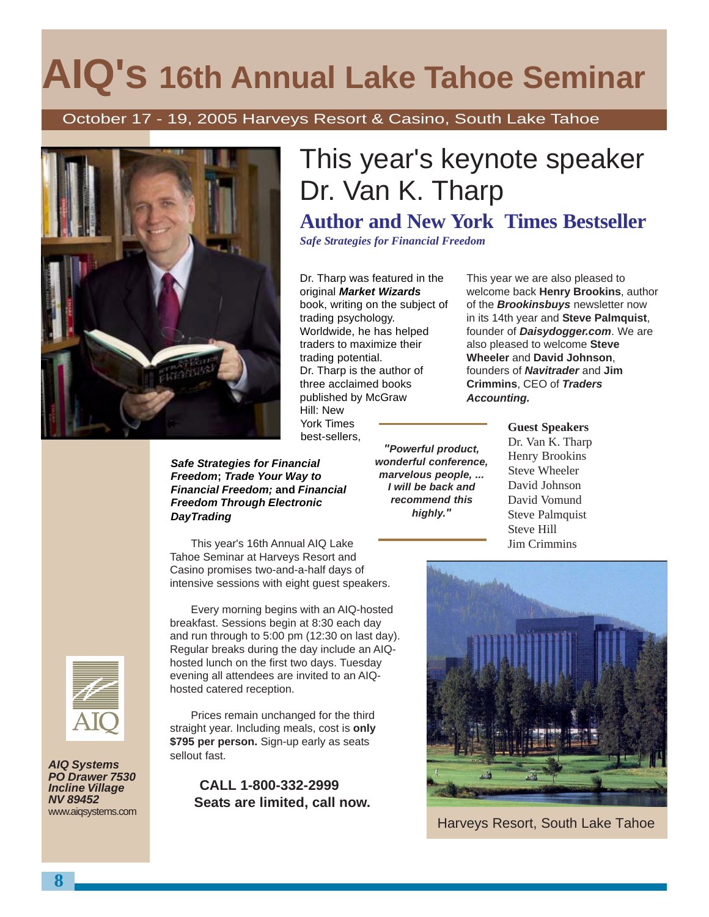# **AIQ's 16th Annual Lake Tahoe Seminar**

October 17 - 19, 2005 Harveys Resort & Casino, South Lake Tahoe



#### **Safe Strategies for Financial Freedom; Trade Your Way to Financial Freedom; and Financial Freedom Through Electronic DayTrading**

This year's 16th Annual AIQ Lake Tahoe Seminar at Harveys Resort and Casino promises two-and-a-half days of intensive sessions with eight guest speakers.

Every morning begins with an AIQ-hosted breakfast. Sessions begin at 8:30 each day and run through to 5:00 pm (12:30 on last day). Regular breaks during the day include an AIQhosted lunch on the first two days. Tuesday evening all attendees are invited to an AIQhosted catered reception.

Prices remain unchanged for the third straight year. Including meals, cost is **only \$795 per person.** Sign-up early as seats sellout fast.

 **CALL 1-800-332-2999 Seats are limited, call now.**

# This year's keynote speaker Dr. Van K. Tharp

## **Author and New York Times Bestseller**

*Safe Strategies for Financial Freedom*

Dr. Tharp was featured in the original **Market Wizards** book, writing on the subject of trading psychology. Worldwide, he has helped traders to maximize their trading potential. Dr. Tharp is the author of three acclaimed books published by McGraw Hill: New York Times

best-sellers,

**"Powerful product, wonderful conference, marvelous people, ... I will be back and recommend this highly."**

This year we are also pleased to welcome back **Henry Brookins**, author of the **Brookinsbuys** newsletter now in its 14th year and **Steve Palmquist**, founder of **Daisydogger.com**. We are also pleased to welcome **Steve Wheeler** and **David Johnson**, founders of **Navitrader** and **Jim Crimmins**, CEO of **Traders Accounting.**

> **Guest Speakers** Dr. Van K. Tharp Henry Brookins Steve Wheeler David Johnson David Vomund Steve Palmquist Steve Hill Jim Crimmins



Harveys Resort, South Lake Tahoe



**AIQ Systems PO Drawer 7530 Incline Village NV 89452** www.aiqsystems.com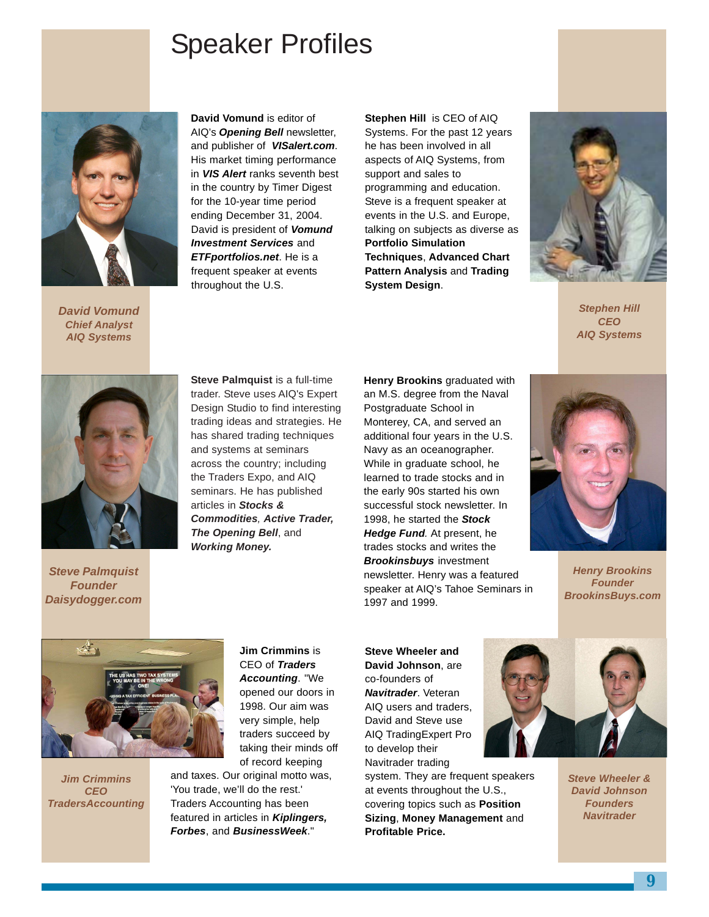## Speaker Profiles



**David Vomund Chief Analyst AIQ Systems**

**David Vomund** is editor of AIQ's **Opening Bell** newsletter, and publisher of **VISalert.com**. His market timing performance in **VIS Alert** ranks seventh best in the country by Timer Digest for the 10-year time period ending December 31, 2004. David is president of **Vomund Investment Services** and **ETFportfolios.net**. He is a frequent speaker at events throughout the U.S.

**Stephen Hill** is CEO of AIQ

Systems. For the past 12 years he has been involved in all aspects of AIQ Systems, from support and sales to programming and education. Steve is a frequent speaker at events in the U.S. and Europe, talking on subjects as diverse as **Portfolio Simulation Techniques**, **Advanced Chart Pattern Analysis** and **Trading System Design**.



**Stephen Hill CEO AIQ Systems**



**Steve Palmquist Founder Daisydogger.com**

**Steve Palmquist** is a full-time trader. Steve uses AIQ's Expert Design Studio to find interesting trading ideas and strategies. He has shared trading techniques and systems at seminars across the country; including the Traders Expo, and AIQ seminars. He has published articles in **Stocks & Commodities**, **Active Trader, The Opening Bell**, and **Working Money.**

**Henry Brookins** graduated with an M.S. degree from the Naval Postgraduate School in Monterey, CA, and served an additional four years in the U.S. Navy as an oceanographer. While in graduate school, he learned to trade stocks and in the early 90s started his own successful stock newsletter. In 1998, he started the **Stock Hedge Fund**. At present, he trades stocks and writes the **Brookinsbuys** investment newsletter. Henry was a featured speaker at AIQ's Tahoe Seminars in 1997 and 1999.



**Henry Brookins Founder BrookinsBuys.com**



**Jim Crimmins CEO TradersAccounting** **Jim Crimmins** is CEO of **Traders Accounting**. "We opened our doors in 1998. Our aim was very simple, help traders succeed by taking their minds off of record keeping

and taxes. Our original motto was, 'You trade, we'll do the rest.' Traders Accounting has been featured in articles in **Kiplingers, Forbes**, and **BusinessWeek**."

**Steve Wheeler and David Johnson**, are co-founders of **Navitrader**. Veteran AIQ users and traders, David and Steve use AIQ TradingExpert Pro to develop their Navitrader trading system. They are frequent speakers

at events throughout the U.S., covering topics such as **Position Sizing**, **Money Management** and **Profitable Price.**



**Steve Wheeler & David Johnson Founders Navitrader**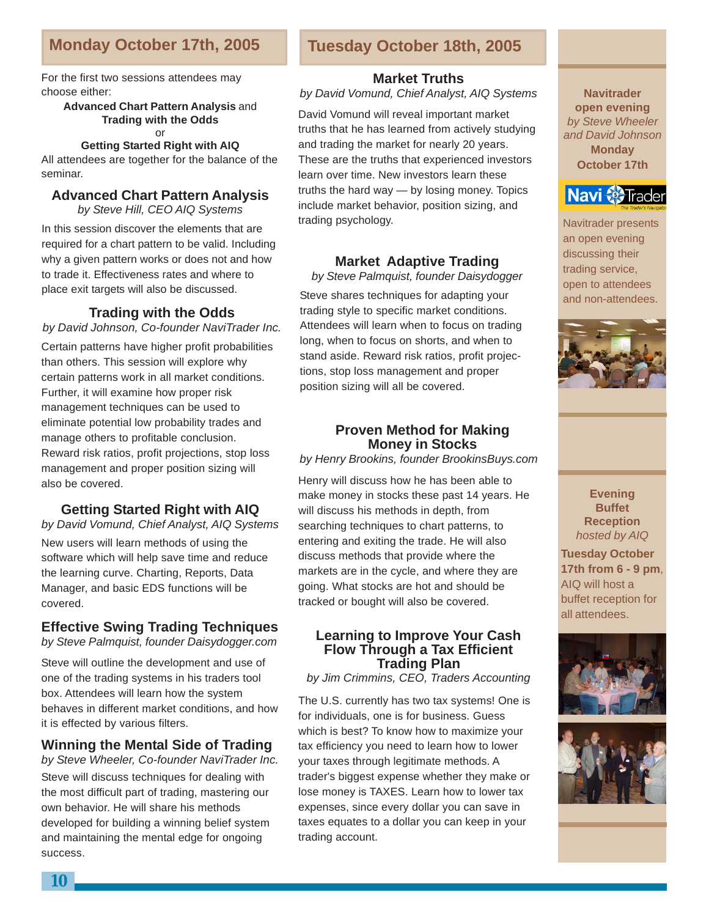### **Monday October 17th, 2005 Tuesday October 18th, 2005**

For the first two sessions attendees may choose either:

> **Advanced Chart Pattern Analysis** and **Trading with the Odds** or

#### **Getting Started Right with AIQ**

All attendees are together for the balance of the seminar.

#### **Advanced Chart Pattern Analysis**

by Steve Hill, CEO AIQ Systems

In this session discover the elements that are required for a chart pattern to be valid. Including why a given pattern works or does not and how to trade it. Effectiveness rates and where to place exit targets will also be discussed.

#### **Trading with the Odds**

#### by David Johnson, Co-founder NaviTrader Inc.

Certain patterns have higher profit probabilities than others. This session will explore why certain patterns work in all market conditions. Further, it will examine how proper risk management techniques can be used to eliminate potential low probability trades and manage others to profitable conclusion. Reward risk ratios, profit projections, stop loss management and proper position sizing will also be covered.

#### **Getting Started Right with AIQ**

New users will learn methods of using the software which will help save time and reduce the learning curve. Charting, Reports, Data Manager, and basic EDS functions will be covered. by David Vomund, Chief Analyst, AIQ Systems

#### **Effective Swing Trading Techniques**

by Steve Palmquist, founder Daisydogger.com

Steve will outline the development and use of one of the trading systems in his traders tool box. Attendees will learn how the system behaves in different market conditions, and how it is effected by various filters.

#### **Winning the Mental Side of Trading**

by Steve Wheeler, Co-founder NaviTrader Inc. Steve will discuss techniques for dealing with the most difficult part of trading, mastering our own behavior. He will share his methods developed for building a winning belief system and maintaining the mental edge for ongoing success.

#### **Market Truths**

by David Vomund, Chief Analyst, AIQ Systems

David Vomund will reveal important market truths that he has learned from actively studying and trading the market for nearly 20 years. These are the truths that experienced investors learn over time. New investors learn these truths the hard way — by losing money. Topics include market behavior, position sizing, and trading psychology.

#### **Market Adaptive Trading**

by Steve Palmquist, founder Daisydogger

Steve shares techniques for adapting your trading style to specific market conditions. Attendees will learn when to focus on trading long, when to focus on shorts, and when to stand aside. Reward risk ratios, profit projections, stop loss management and proper position sizing will all be covered.

#### **Proven Method for Making Money in Stocks**

by Henry Brookins, founder BrookinsBuys.com

Henry will discuss how he has been able to make money in stocks these past 14 years. He will discuss his methods in depth, from searching techniques to chart patterns, to entering and exiting the trade. He will also discuss methods that provide where the markets are in the cycle, and where they are going. What stocks are hot and should be tracked or bought will also be covered.

#### **Learning to Improve Your Cash Flow Through a Tax Efficient Trading Plan**

by Jim Crimmins, CEO, Traders Accounting

The U.S. currently has two tax systems! One is for individuals, one is for business. Guess which is best? To know how to maximize your tax efficiency you need to learn how to lower your taxes through legitimate methods. A trader's biggest expense whether they make or lose money is TAXES. Learn how to lower tax expenses, since every dollar you can save in taxes equates to a dollar you can keep in your trading account.

**Navitrader open evening** by Steve Wheeler and David Johnson **Monday October 17th**



Navitrader presents an open evening discussing their trading service, open to attendees and non-attendees.



**Evening Buffet Reception** hosted by AIQ

**Tuesday October 17th from 6 - 9 pm**, AIQ will host a buffet reception for all attendees.